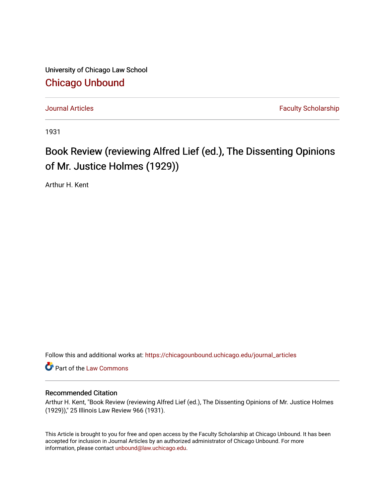University of Chicago Law School [Chicago Unbound](https://chicagounbound.uchicago.edu/)

[Journal Articles](https://chicagounbound.uchicago.edu/journal_articles) **Faculty Scholarship Journal Articles** 

1931

## Book Review (reviewing Alfred Lief (ed.), The Dissenting Opinions of Mr. Justice Holmes (1929))

Arthur H. Kent

Follow this and additional works at: [https://chicagounbound.uchicago.edu/journal\\_articles](https://chicagounbound.uchicago.edu/journal_articles?utm_source=chicagounbound.uchicago.edu%2Fjournal_articles%2F8854&utm_medium=PDF&utm_campaign=PDFCoverPages) 

Part of the [Law Commons](http://network.bepress.com/hgg/discipline/578?utm_source=chicagounbound.uchicago.edu%2Fjournal_articles%2F8854&utm_medium=PDF&utm_campaign=PDFCoverPages)

## Recommended Citation

Arthur H. Kent, "Book Review (reviewing Alfred Lief (ed.), The Dissenting Opinions of Mr. Justice Holmes (1929))," 25 Illinois Law Review 966 (1931).

This Article is brought to you for free and open access by the Faculty Scholarship at Chicago Unbound. It has been accepted for inclusion in Journal Articles by an authorized administrator of Chicago Unbound. For more information, please contact [unbound@law.uchicago.edu](mailto:unbound@law.uchicago.edu).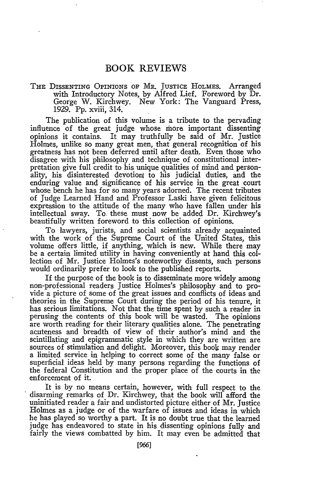## BOOK REVIEWS

THE DISSENTING OPINIONS **OF** MR. JUSTICE HOLMES. Arranged with Introductory Notes, by Alfred Lief. Foreword by Dr. George W. Kirchwey. New York: The Vanguard Press, 1929. Pp. xviii, 314.

The publication of this volume is a tribute to the pervading influence of the great judge whose more important dissenting opinions it contains. It may truthfully be said of Mr. Justice Holmes, unlike so many great men, that general recognition of his greatness has not been deferred until after death. Even those who disagree with his philosophy and technique of constitutional interpretation give full credit to his unique qualities of mind and personality, his disinterested devotion to his judicial duties, and the enduring value and significance of his service in the great court whose bench he has for so many years adorned. The recent tributes of Judge Learned Hand and Professor Laski have given felicitous expression to the attitude of the many who have fallen under his intellectual sway. To these must now be added Dr. Kirchwey's beautifully written foreword to this collection of opinions.

To lawyers, jurists, and social scientists already acquainted with the work of the Supreme Court of the United States, this volume offers little, if anything, which is new. While there may be a certain limited utility in having conveniently at hand this collection of Mr. Justice Holmes's noteworthy dissents, such persons would ordinarily prefer to look to the published reports.

If the purpose of the book is to disseminate more widely among non-professional readers Justice Holmes's philosophy and to provide a picture of some of the great issues and conflicts of ideas and theories in the Supreme Court during the period of his tenure, it has serious limitations. Not that the time spent by such a reader in perusing the contents of this book will be wasted. The opinions are worth reading for their literary qualities alone. The penetrating acuteness and breadth of view of their author's mind and the scintillating and epigrammatic style in which they are written are sources of stimulation and delight. Moreover, this book may render a limited service in helping to correct some of the many false or superficial ideas held by many persons regarding the functions of the federal Constitution and the proper place of the courts in the enforcement of it.

It is by no means certain, however, with full respect to the disarming remarks of Dr. Kirchwey, that the book will afford the uninitiated reader a fair and undistorted picture either of Mr. Justice Holmes as a judge or of the warfare of issues and ideas in which he has played so worthy a part. It is no doubt true that the learned judge has endeavored to state in his dissenting opinions fully and fairly the views combatted by him. It may even be admitted that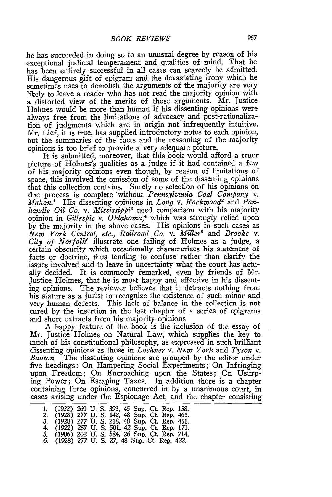he has succeeded in doing so to an unusual degree by reason of his exceptional judicial temperament and qualities of mind. That he has been entirely successful in all cases can scarcely be admitted. His dangerous gift of epigram and the devastating irony which he sometimes uses to demolish the arguments of the majority are very likely to leave a reader who has not read the majority opinion with a distorted view of the merits of those arguments. Mr. Justice Holmes would be more than human if his dissenting opinions were always free from the limitations of advocacy and post-rationalization of judgments which are in origin not infrequently intuitive. Mr. Lief, it is true, has supplied introductory notes to each opinion, but the summaries of the facts and the reasoning of the majority opinions is too brief to provide a-very adequate picture.

It is submitted, moreover, that this book would afford a truer picture of Holmes's qualities as a judge if it had contained a few of his majority opinions even though, by reason of limitations of space, this involved the omission of some of the dissenting opinions that this collection contains. Surely no selection of his opinions on due process is complete -without *Pennsylvania Coal Company v. Mahon.1* His dissenting opinions in *Long v. Rockwood2* and *Panhandle Oil Co. v. Mississippis* need comparison with his majority opinion in *Gillespie v. Oklahoma,4* which was strongly relied upon **by** the majority in the above cases. His opinions in such cases as *New York Central, etc., Railroad Co. v. Miller5* and *Brooke v. City of Norfolk'* illustrate one failing of Holmes as a judge, a certain obscurity which occasionally characterizes his statement of facts or doctrine, thus tending to confuse rather than clarify the issues involved and to leave in uncertainty what the court has actually decided. It is commonly remarked, even **by** friends of Mr. Justice Holmes, that he is most happy and effective in his dissenting opinions. The reviewer believes that it detracts nothing from his stature as a jurist to recognize the existence of such minor and very human defects. This lack of balance in the collection is not cured **by** the insertion in the last chapter of a series of epigrams and short extracts from his majority opinions

A happy feature of the book is the inclusion of the essay of Mr. Justice Holmes on Natural Law, which supplies the key to much of his constitutional philosophy, as expressed in such brilliant dissenting opinions as those in *Lochner v. New York* and *Tyson v. Banton.* The dissenting opinions are grouped **by** the editor under five headings: On Hampering Social Experiments; On Infringing upon Freedom; On Encroaching upon the States; On Usurping Power; On Escaping Taxes. In addition there is a chapter containing three opinions, concurred in **by** a unanimous court, in cases arising under the Espionage Act, and the chapter consisting

| 1. |  |  | (1922) 260 U.S. 393, 45 Sup. Ct. Rep. 158.     |
|----|--|--|------------------------------------------------|
| 2. |  |  | (1928) 277 U. S. 142, 48 Sup. Ct. Rep. 463.    |
|    |  |  | 3. (1928) 277 U.S. 218, 48 Sup. Ct. Rep. 451.  |
|    |  |  | 4. (1922) 257 U.S. 501, 42 Sup. Ct. Rep. 171.  |
|    |  |  | 5. (1906) 202 U.S., 584, 26 Sup. Ct. Rep. 714. |
|    |  |  | 6. (1928) 277 U.S. 27, 48 Sup. Ct. Rep. 422.   |